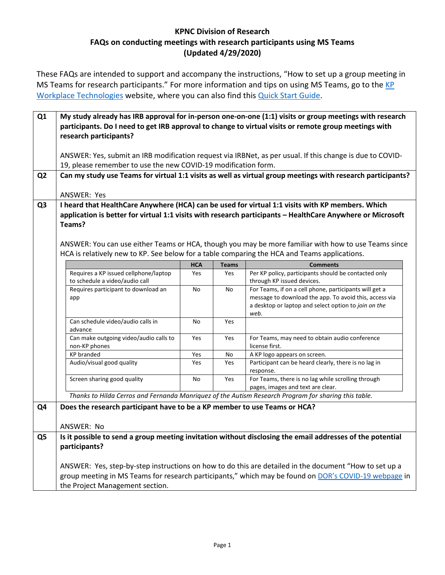## **KPNC Division of Research FAQs on conducting meetings with research participants using MS Teams (Updated 4/29/2020)**

These FAQs are intended to support and accompany the instructions, "How to set up a group meeting in MS Teams for research participants." For more information and tips on using MS Teams, go to the KP [Workplace Technologies](https://sp-cloud.kp.org/sites/CollaborationSolutions/sitepages/Teams.aspx) website, where you can also find this [Quick Start Guide.](https://sp-cloud.kp.org/sites/CollaborationSolutions/Shared%20Documents/Forms/AllItems.aspx?id=%2Fsites%2FCollaborationSolutions%2FShared%20Documents%2FMS%20Teams%20Meetings%20%2D%20Quick%20Start%20Guide%2Epdf&parent=%2Fsites%2FCollaborationSolutions%2FShared%20Documents)

| Q1             | research participants?                                                                                 |            |              | My study already has IRB approval for in-person one-on-one (1:1) visits or group meetings with research<br>participants. Do I need to get IRB approval to change to virtual visits or remote group meetings with                                                                                                             |
|----------------|--------------------------------------------------------------------------------------------------------|------------|--------------|------------------------------------------------------------------------------------------------------------------------------------------------------------------------------------------------------------------------------------------------------------------------------------------------------------------------------|
|                | 19, please remember to use the new COVID-19 modification form.                                         |            |              | ANSWER: Yes, submit an IRB modification request via IRBNet, as per usual. If this change is due to COVID-                                                                                                                                                                                                                    |
| Q <sub>2</sub> |                                                                                                        |            |              | Can my study use Teams for virtual 1:1 visits as well as virtual group meetings with research participants?                                                                                                                                                                                                                  |
|                | ANSWER: Yes                                                                                            |            |              |                                                                                                                                                                                                                                                                                                                              |
| Q <sub>3</sub> | Teams?<br>HCA is relatively new to KP. See below for a table comparing the HCA and Teams applications. |            |              | I heard that HealthCare Anywhere (HCA) can be used for virtual 1:1 visits with KP members. Which<br>application is better for virtual 1:1 visits with research participants - HealthCare Anywhere or Microsoft<br>ANSWER: You can use either Teams or HCA, though you may be more familiar with how to use Teams since       |
|                |                                                                                                        | <b>HCA</b> | <b>Teams</b> | <b>Comments</b>                                                                                                                                                                                                                                                                                                              |
|                | Requires a KP issued cellphone/laptop<br>to schedule a video/audio call                                | Yes        | Yes          | Per KP policy, participants should be contacted only<br>through KP issued devices.                                                                                                                                                                                                                                           |
|                | Requires participant to download an<br>app                                                             | No         | No           | For Teams, if on a cell phone, participants will get a<br>message to download the app. To avoid this, access via<br>a desktop or laptop and select option to join on the<br>web.                                                                                                                                             |
|                | Can schedule video/audio calls in<br>advance                                                           | No         | Yes          |                                                                                                                                                                                                                                                                                                                              |
|                | Can make outgoing video/audio calls to<br>non-KP phones                                                | Yes        | Yes          | For Teams, may need to obtain audio conference<br>license first.                                                                                                                                                                                                                                                             |
|                | <b>KP</b> branded                                                                                      | Yes        | No           | A KP logo appears on screen.                                                                                                                                                                                                                                                                                                 |
|                | Audio/visual good quality                                                                              | Yes        | Yes          | Participant can be heard clearly, there is no lag in<br>response.                                                                                                                                                                                                                                                            |
|                | Screen sharing good quality                                                                            | No         | Yes          | For Teams, there is no lag while scrolling through<br>pages, images and text are clear.                                                                                                                                                                                                                                      |
|                |                                                                                                        |            |              | Thanks to Hilda Cerros and Fernanda Manriquez of the Autism Research Program for sharing this table.                                                                                                                                                                                                                         |
| Q4             | Does the research participant have to be a KP member to use Teams or HCA?<br>ANSWER: No                |            |              |                                                                                                                                                                                                                                                                                                                              |
| Q5             | participants?<br>the Project Management section.                                                       |            |              | Is it possible to send a group meeting invitation without disclosing the email addresses of the potential<br>ANSWER: Yes, step-by-step instructions on how to do this are detailed in the document "How to set up a<br>group meeting in MS Teams for research participants," which may be found on DOR's COVID-19 webpage in |